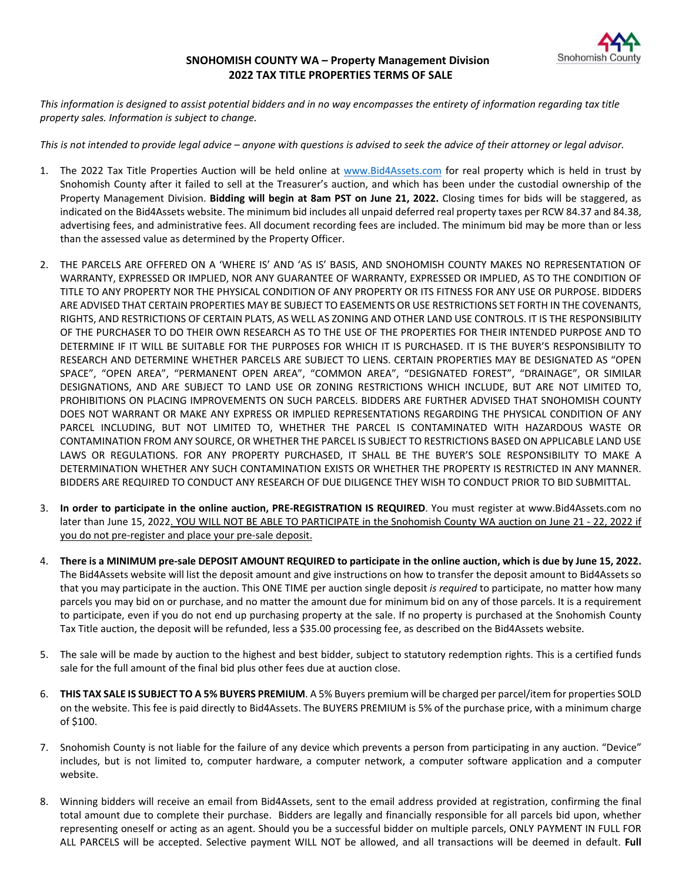

## **SNOHOMISH COUNTY WA – Property Management Division 2022 TAX TITLE PROPERTIES TERMS OF SALE**

*This information is designed to assist potential bidders and in no way encompasses the entirety of information regarding tax title property sales. Information is subject to change.* 

*This is not intended to provide legal advice – anyone with questions is advised to seek the advice of their attorney or legal advisor.*

- 1. The 2022 Tax Title Properties Auction will be held online at [www.Bid4Assets.com](http://www.bid4assets.com/) for real property which is held in trust by Snohomish County after it failed to sell at the Treasurer's auction, and which has been under the custodial ownership of the Property Management Division. **Bidding will begin at 8am PST on June 21, 2022.** Closing times for bids will be staggered, as indicated on the Bid4Assets website. The minimum bid includes all unpaid deferred real property taxes per RCW 84.37 and 84.38, advertising fees, and administrative fees. All document recording fees are included. The minimum bid may be more than or less than the assessed value as determined by the Property Officer.
- 2. THE PARCELS ARE OFFERED ON A 'WHERE IS' AND 'AS IS' BASIS, AND SNOHOMISH COUNTY MAKES NO REPRESENTATION OF WARRANTY, EXPRESSED OR IMPLIED, NOR ANY GUARANTEE OF WARRANTY, EXPRESSED OR IMPLIED, AS TO THE CONDITION OF TITLE TO ANY PROPERTY NOR THE PHYSICAL CONDITION OF ANY PROPERTY OR ITS FITNESS FOR ANY USE OR PURPOSE. BIDDERS ARE ADVISED THAT CERTAIN PROPERTIES MAY BE SUBJECT TO EASEMENTS OR USE RESTRICTIONS SET FORTH IN THE COVENANTS, RIGHTS, AND RESTRICTIONS OF CERTAIN PLATS, AS WELL AS ZONING AND OTHER LAND USE CONTROLS. IT IS THE RESPONSIBILITY OF THE PURCHASER TO DO THEIR OWN RESEARCH AS TO THE USE OF THE PROPERTIES FOR THEIR INTENDED PURPOSE AND TO DETERMINE IF IT WILL BE SUITABLE FOR THE PURPOSES FOR WHICH IT IS PURCHASED. IT IS THE BUYER'S RESPONSIBILITY TO RESEARCH AND DETERMINE WHETHER PARCELS ARE SUBJECT TO LIENS. CERTAIN PROPERTIES MAY BE DESIGNATED AS "OPEN SPACE", "OPEN AREA", "PERMANENT OPEN AREA", "COMMON AREA", "DESIGNATED FOREST", "DRAINAGE", OR SIMILAR DESIGNATIONS, AND ARE SUBJECT TO LAND USE OR ZONING RESTRICTIONS WHICH INCLUDE, BUT ARE NOT LIMITED TO, PROHIBITIONS ON PLACING IMPROVEMENTS ON SUCH PARCELS. BIDDERS ARE FURTHER ADVISED THAT SNOHOMISH COUNTY DOES NOT WARRANT OR MAKE ANY EXPRESS OR IMPLIED REPRESENTATIONS REGARDING THE PHYSICAL CONDITION OF ANY PARCEL INCLUDING, BUT NOT LIMITED TO, WHETHER THE PARCEL IS CONTAMINATED WITH HAZARDOUS WASTE OR CONTAMINATION FROM ANY SOURCE, OR WHETHER THE PARCEL IS SUBJECT TO RESTRICTIONS BASED ON APPLICABLE LAND USE LAWS OR REGULATIONS. FOR ANY PROPERTY PURCHASED, IT SHALL BE THE BUYER'S SOLE RESPONSIBILITY TO MAKE A DETERMINATION WHETHER ANY SUCH CONTAMINATION EXISTS OR WHETHER THE PROPERTY IS RESTRICTED IN ANY MANNER. BIDDERS ARE REQUIRED TO CONDUCT ANY RESEARCH OF DUE DILIGENCE THEY WISH TO CONDUCT PRIOR TO BID SUBMITTAL.
- 3. **In order to participate in the online auction, PRE-REGISTRATION IS REQUIRED**. You must register at www.Bid4Assets.com no later than June 15, 2022. YOU WILL NOT BE ABLE TO PARTICIPATE in the Snohomish County WA auction on June 21 - 22, 2022 if you do not pre-register and place your pre-sale deposit.
- 4. **There is a MINIMUM pre-sale DEPOSIT AMOUNT REQUIRED to participate in the online auction, which is due by June 15, 2022.** The Bid4Assets website will list the deposit amount and give instructions on how to transfer the deposit amount to Bid4Assets so that you may participate in the auction. This ONE TIME per auction single deposit *is required* to participate, no matter how many parcels you may bid on or purchase, and no matter the amount due for minimum bid on any of those parcels. It is a requirement to participate, even if you do not end up purchasing property at the sale. If no property is purchased at the Snohomish County Tax Title auction, the deposit will be refunded, less a \$35.00 processing fee, as described on the Bid4Assets website.
- 5. The sale will be made by auction to the highest and best bidder, subject to statutory redemption rights. This is a certified funds sale for the full amount of the final bid plus other fees due at auction close.
- 6. **THIS TAX SALE IS SUBJECT TO A 5% BUYERS PREMIUM**. A 5% Buyers premium will be charged per parcel/item for properties SOLD on the website. This fee is paid directly to Bid4Assets. The BUYERS PREMIUM is 5% of the purchase price, with a minimum charge of \$100.
- 7. Snohomish County is not liable for the failure of any device which prevents a person from participating in any auction. "Device" includes, but is not limited to, computer hardware, a computer network, a computer software application and a computer website.
- 8. Winning bidders will receive an email from Bid4Assets, sent to the email address provided at registration, confirming the final total amount due to complete their purchase. Bidders are legally and financially responsible for all parcels bid upon, whether representing oneself or acting as an agent. Should you be a successful bidder on multiple parcels, ONLY PAYMENT IN FULL FOR ALL PARCELS will be accepted. Selective payment WILL NOT be allowed, and all transactions will be deemed in default. **Full**